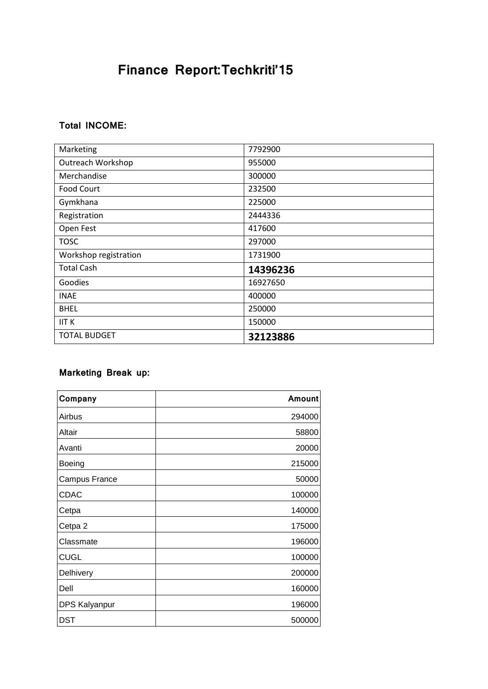# **Finance Report:Techkriti'15**

### **Total INCOME:**

| Marketing                | 7792900  |
|--------------------------|----------|
| <b>Outreach Workshop</b> | 955000   |
| Merchandise              | 300000   |
| <b>Food Court</b>        | 232500   |
| Gymkhana                 | 225000   |
| Registration             | 2444336  |
| Open Fest                | 417600   |
| <b>TOSC</b>              | 297000   |
| Workshop registration    | 1731900  |
| <b>Total Cash</b>        | 14396236 |
| Goodies                  | 16927650 |
| <b>INAE</b>              | 400000   |
| <b>BHEL</b>              | 250000   |
| <b>IIT K</b>             | 150000   |
| <b>TOTAL BUDGET</b>      | 32123886 |

#### **Marketing Break up:**

| Company       | Amount |
|---------------|--------|
| Airbus        | 294000 |
| Altair        | 58800  |
| Avanti        | 20000  |
| Boeing        | 215000 |
| Campus France | 50000  |
| <b>CDAC</b>   | 100000 |
| Cetpa         | 140000 |
| Cetpa 2       | 175000 |
| Classmate     | 196000 |
| <b>CUGL</b>   | 100000 |
| Delhivery     | 200000 |
| Dell          | 160000 |
| DPS Kalyanpur | 196000 |
| <b>DST</b>    | 500000 |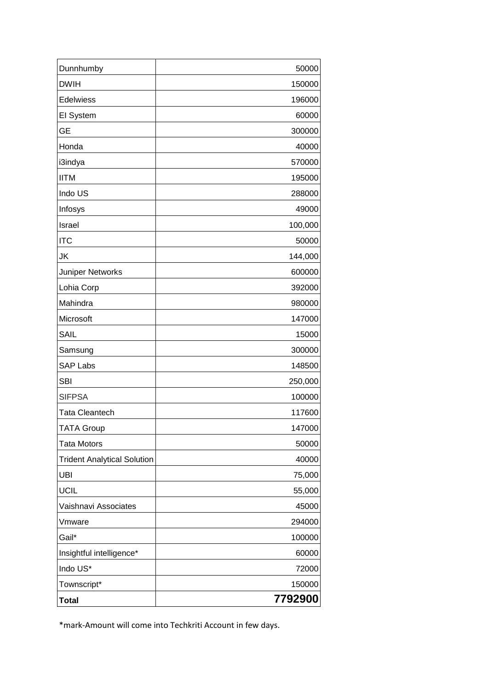| Dunnhumby                          | 50000   |
|------------------------------------|---------|
| <b>DWIH</b>                        | 150000  |
| Edelwiess                          | 196000  |
| El System                          | 60000   |
| <b>GE</b>                          | 300000  |
| Honda                              | 40000   |
| i3indya                            | 570000  |
| <b>IITM</b>                        | 195000  |
| Indo US                            | 288000  |
| Infosys                            | 49000   |
| Israel                             | 100,000 |
| <b>ITC</b>                         | 50000   |
| JK                                 | 144,000 |
| <b>Juniper Networks</b>            | 600000  |
| Lohia Corp                         | 392000  |
| Mahindra                           | 980000  |
| Microsoft                          | 147000  |
| <b>SAIL</b>                        | 15000   |
| Samsung                            | 300000  |
| <b>SAP Labs</b>                    | 148500  |
| <b>SBI</b>                         | 250,000 |
| <b>SIFPSA</b>                      | 100000  |
| <b>Tata Cleantech</b>              | 117600  |
| TATA Group                         | 147000  |
| <b>Tata Motors</b>                 | 50000   |
| <b>Trident Analytical Solution</b> | 40000   |
| <b>UBI</b>                         | 75,000  |
| UCIL                               | 55,000  |
| Vaishnavi Associates               | 45000   |
| Vmware                             | 294000  |
| Gail*                              | 100000  |
| Insightful intelligence*           | 60000   |
| Indo US*                           | 72000   |
| Townscript*                        | 150000  |
| <b>Total</b>                       | 7792900 |

\*mark-Amount will come into Techkriti Account in few days.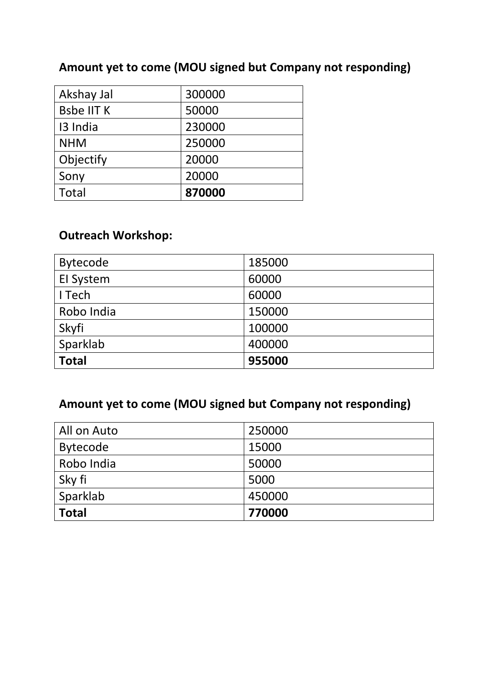## **Amount yet to come (MOU signed but Company not responding)**

| Akshay Jal        | 300000 |
|-------------------|--------|
| <b>Bsbe IIT K</b> | 50000  |
| 13 India          | 230000 |
| <b>NHM</b>        | 250000 |
| Objectify         | 20000  |
| Sony              | 20000  |
| <b>Total</b>      | 870000 |

## **Outreach Workshop:**

| <b>Bytecode</b> | 185000 |
|-----------------|--------|
| El System       | 60000  |
| I Tech          | 60000  |
| Robo India      | 150000 |
| Skyfi           | 100000 |
| Sparklab        | 400000 |
| <b>Total</b>    | 955000 |

## **Amount yet to come (MOU signed but Company not responding)**

| All on Auto  | 250000 |
|--------------|--------|
| Bytecode     | 15000  |
| Robo India   | 50000  |
| Sky fi       | 5000   |
| Sparklab     | 450000 |
| <b>Total</b> | 770000 |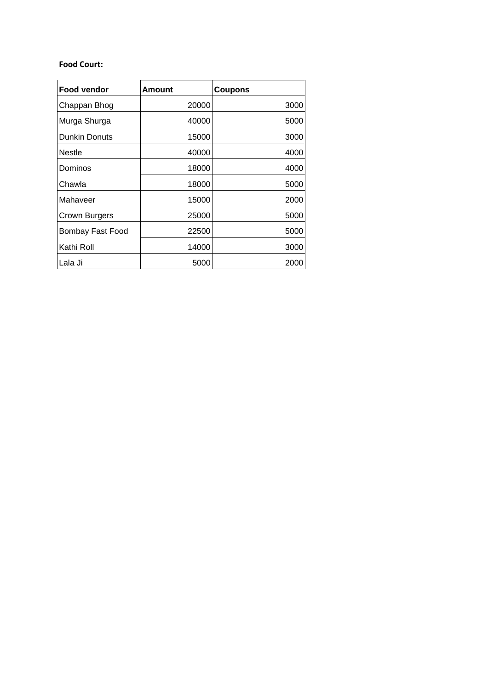#### **Food Court:**

| Food vendor          | Amount | <b>Coupons</b> |
|----------------------|--------|----------------|
| Chappan Bhog         | 20000  | 3000           |
| Murga Shurga         | 40000  | 5000           |
| <b>Dunkin Donuts</b> | 15000  | 3000           |
| <b>Nestle</b>        | 40000  | 4000           |
| Dominos              | 18000  | 4000           |
| Chawla               | 18000  | 5000           |
| Mahaveer             | 15000  | 2000           |
| Crown Burgers        | 25000  | 5000           |
| Bombay Fast Food     | 22500  | 5000           |
| Kathi Roll           | 14000  | 3000           |
| Lala Ji              | 5000   | 2000           |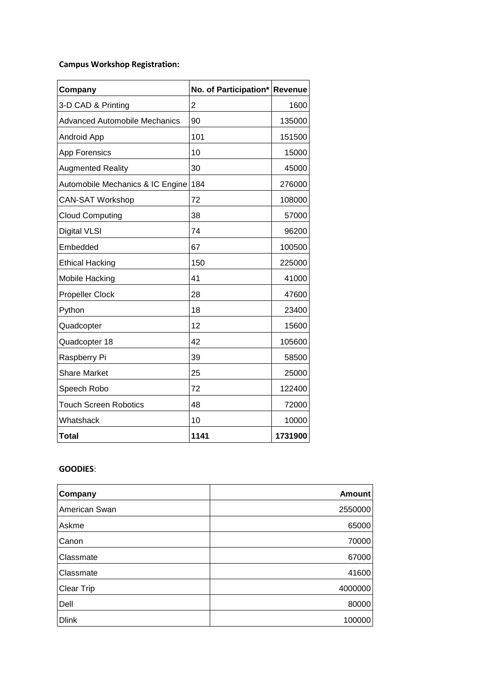### **Campus Workshop Registration:**

| Company                              | No. of Participation* | <b>Revenue</b> |
|--------------------------------------|-----------------------|----------------|
| 3-D CAD & Printing                   | $\overline{2}$        | 1600           |
| <b>Advanced Automobile Mechanics</b> | 90                    | 135000         |
| Android App                          | 101                   | 151500         |
| App Forensics                        | 10                    | 15000          |
| <b>Augmented Reality</b>             | 30                    | 45000          |
| Automobile Mechanics & IC Engine     | 184                   | 276000         |
| <b>CAN-SAT Workshop</b>              | 72                    | 108000         |
| <b>Cloud Computing</b>               | 38                    | 57000          |
| <b>Digital VLSI</b>                  | 74                    | 96200          |
| Embedded                             | 67                    | 100500         |
| <b>Ethical Hacking</b>               | 150                   | 225000         |
| Mobile Hacking                       | 41                    | 41000          |
| <b>Propeller Clock</b>               | 28                    | 47600          |
| Python                               | 18                    | 23400          |
| Quadcopter                           | 12                    | 15600          |
| Quadcopter 18                        | 42                    | 105600         |
| Raspberry Pi                         | 39                    | 58500          |
| <b>Share Market</b>                  | 25                    | 25000          |
| Speech Robo                          | 72                    | 122400         |
| <b>Touch Screen Robotics</b>         | 48                    | 72000          |
| Whatshack                            | 10                    | 10000          |
| Total                                | 1141                  | 1731900        |

## **GOODIES**:

| Company       | <b>Amount</b> |
|---------------|---------------|
| American Swan | 2550000       |
| Askme         | 65000         |
| Canon         | 70000         |
| Classmate     | 67000         |
| Classmate     | 41600         |
| Clear Trip    | 4000000       |
| Dell          | 80000         |
| <b>Dlink</b>  | 100000        |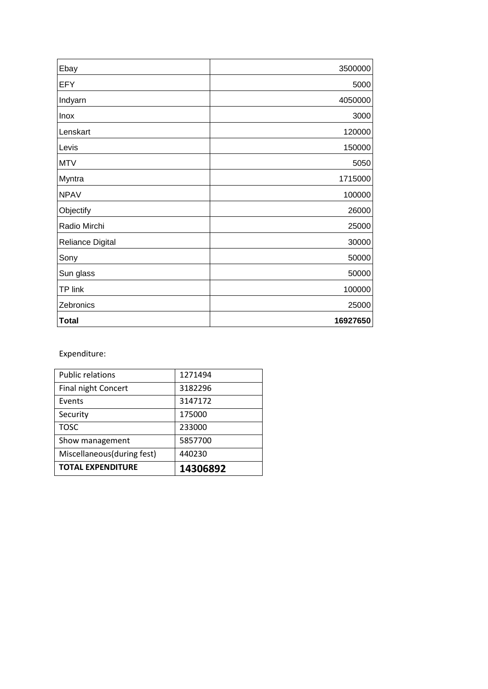| Ebay             | 3500000  |
|------------------|----------|
| <b>EFY</b>       | 5000     |
| Indyarn          | 4050000  |
| <b>Inox</b>      | 3000     |
| Lenskart         | 120000   |
| Levis            | 150000   |
| <b>MTV</b>       | 5050     |
| Myntra           | 1715000  |
| <b>NPAV</b>      | 100000   |
| Objectify        | 26000    |
| Radio Mirchi     | 25000    |
| Reliance Digital | 30000    |
| Sony             | 50000    |
| Sun glass        | 50000    |
| TP link          | 100000   |
| Zebronics        | 25000    |
| <b>Total</b>     | 16927650 |

Expenditure:

| <b>TOTAL EXPENDITURE</b>   | 14306892 |
|----------------------------|----------|
| Miscellaneous(during fest) | 440230   |
| Show management            | 5857700  |
| <b>TOSC</b>                | 233000   |
| Security                   | 175000   |
| Events                     | 3147172  |
| <b>Final night Concert</b> | 3182296  |
| <b>Public relations</b>    | 1271494  |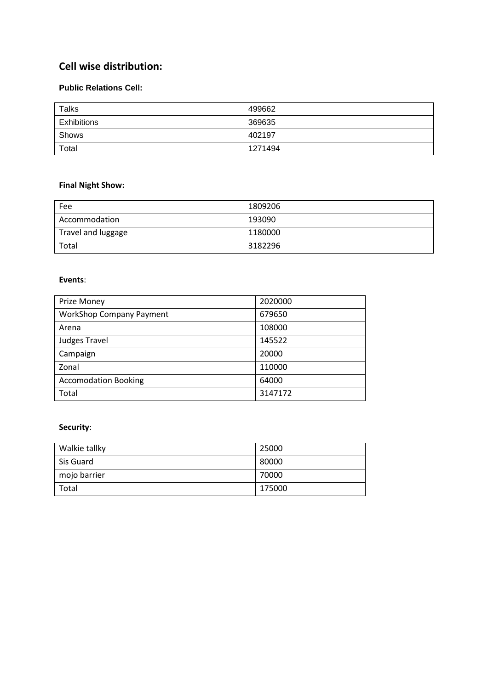## **Cell wise distribution:**

#### **Public Relations Cell:**

| <b>Talks</b> | 499662  |
|--------------|---------|
| Exhibitions  | 369635  |
| Shows        | 402197  |
| Total        | 1271494 |

#### **Final Night Show:**

| Fee                | 1809206 |
|--------------------|---------|
| Accommodation      | 193090  |
| Travel and luggage | 1180000 |
| Total              | 3182296 |

#### **Events**:

| Prize Money                     | 2020000 |
|---------------------------------|---------|
| <b>WorkShop Company Payment</b> | 679650  |
| Arena                           | 108000  |
| <b>Judges Travel</b>            | 145522  |
| Campaign                        | 20000   |
| Zonal                           | 110000  |
| <b>Accomodation Booking</b>     | 64000   |
| Total                           | 3147172 |

### **Security**:

| Walkie tallky | 25000  |
|---------------|--------|
| Sis Guard     | 80000  |
| mojo barrier  | 70000  |
| l Total       | 175000 |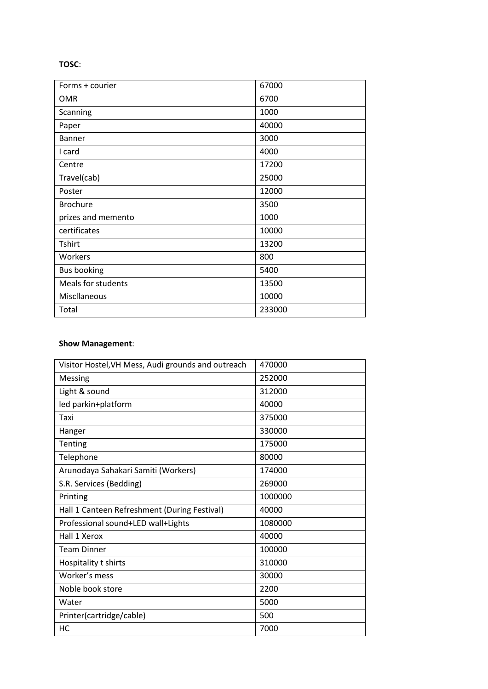#### **TOSC**:

| Forms + courier    | 67000  |
|--------------------|--------|
| <b>OMR</b>         | 6700   |
| Scanning           | 1000   |
| Paper              | 40000  |
| <b>Banner</b>      | 3000   |
| I card             | 4000   |
| Centre             | 17200  |
| Travel(cab)        | 25000  |
| Poster             | 12000  |
| <b>Brochure</b>    | 3500   |
| prizes and memento | 1000   |
| certificates       | 10000  |
| <b>Tshirt</b>      | 13200  |
| Workers            | 800    |
| <b>Bus booking</b> | 5400   |
| Meals for students | 13500  |
| Miscllaneous       | 10000  |
| Total              | 233000 |

#### **Show Management**:

| Visitor Hostel, VH Mess, Audi grounds and outreach | 470000  |
|----------------------------------------------------|---------|
| Messing                                            | 252000  |
| Light & sound                                      | 312000  |
| led parkin+platform                                | 40000   |
| Taxi                                               | 375000  |
| Hanger                                             | 330000  |
| <b>Tenting</b>                                     | 175000  |
| Telephone                                          | 80000   |
| Arunodaya Sahakari Samiti (Workers)                | 174000  |
| S.R. Services (Bedding)                            | 269000  |
| Printing                                           | 1000000 |
| Hall 1 Canteen Refreshment (During Festival)       | 40000   |
| Professional sound+LED wall+Lights                 | 1080000 |
| Hall 1 Xerox                                       | 40000   |
| <b>Team Dinner</b>                                 | 100000  |
| Hospitality t shirts                               | 310000  |
| Worker's mess                                      | 30000   |
| Noble book store                                   | 2200    |
| Water                                              | 5000    |
| Printer(cartridge/cable)                           | 500     |
| НC                                                 | 7000    |